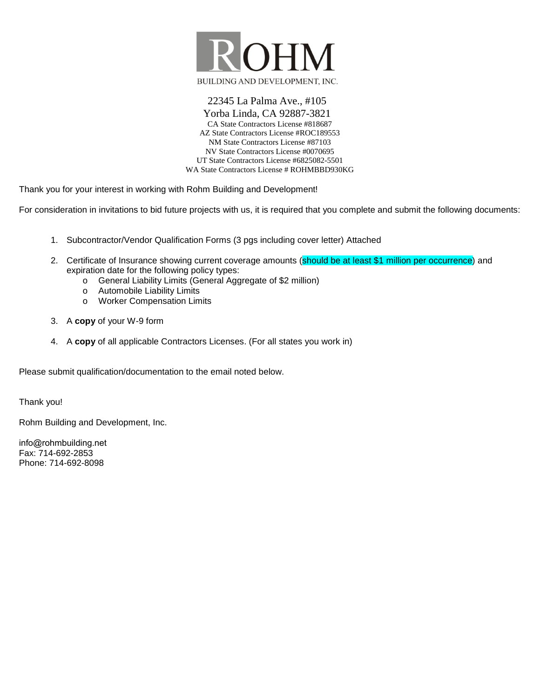

22345 La Palma Ave., #105 Yorba Linda, CA 92887-3821 CA State Contractors License #818687 AZ State Contractors License #ROC189553 NM State Contractors License #87103 NV State Contractors License #0070695 UT State Contractors License #6825082-5501 WA State Contractors License # ROHMBBD930KG

Thank you for your interest in working with Rohm Building and Development!

For consideration in invitations to bid future projects with us, it is required that you complete and submit the following documents:

- 1. Subcontractor/Vendor Qualification Forms (3 pgs including cover letter) Attached
- 2. Certificate of Insurance showing current coverage amounts (should be at least \$1 million per occurrence) and expiration date for the following policy types:
	- o General Liability Limits (General Aggregate of \$2 million)
	- o Automobile Liability Limits
	- o Worker Compensation Limits
- 3. A **copy** of your W-9 form
- 4. A **copy** of all applicable Contractors Licenses. (For all states you work in)

Please submit qualification/documentation to the email noted below.

Thank you!

Rohm Building and Development, Inc.

info@rohmbuilding.net Fax: 714-692-2853 Phone: 714-692-8098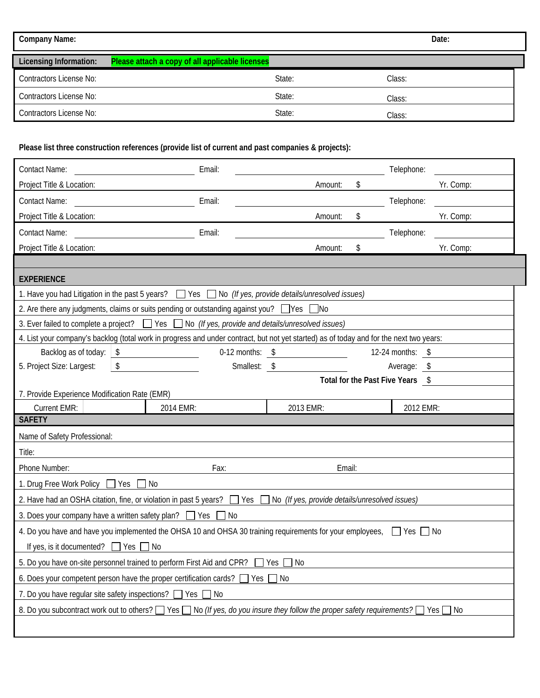| <b>Company Name:</b>           |                                                 |        | Date:  |
|--------------------------------|-------------------------------------------------|--------|--------|
| <b>Licensing Information:</b>  | Please attach a copy of all applicable licenses |        |        |
| Contractors License No:        |                                                 | State: | Class: |
| <b>Contractors License No:</b> |                                                 | State: | Class: |
| Contractors License No:        |                                                 | State: | Class: |

## **Please list three construction references (provide list of current and past companies & projects):**

| <b>Contact Name:</b>                                                                                                                    | Email:             |                         |    | Telephone:        |                                  |  |  |  |  |  |  |  |  |  |
|-----------------------------------------------------------------------------------------------------------------------------------------|--------------------|-------------------------|----|-------------------|----------------------------------|--|--|--|--|--|--|--|--|--|
| Project Title & Location:                                                                                                               |                    | Amount:                 | \$ | Yr. Comp:         |                                  |  |  |  |  |  |  |  |  |  |
| <b>Contact Name:</b>                                                                                                                    | Email:             |                         |    | Telephone:        |                                  |  |  |  |  |  |  |  |  |  |
| Project Title & Location:                                                                                                               |                    | Amount:                 | \$ | Yr. Comp:         |                                  |  |  |  |  |  |  |  |  |  |
| Contact Name:                                                                                                                           | Email:             |                         |    | Telephone:        |                                  |  |  |  |  |  |  |  |  |  |
| Project Title & Location:                                                                                                               |                    | Amount:                 | \$ | Yr. Comp:         |                                  |  |  |  |  |  |  |  |  |  |
|                                                                                                                                         |                    |                         |    |                   |                                  |  |  |  |  |  |  |  |  |  |
| <b>EXPERIENCE</b>                                                                                                                       |                    |                         |    |                   |                                  |  |  |  |  |  |  |  |  |  |
| 1. Have you had Litigation in the past 5 years? $\Box$ Yes $\Box$ No (If yes, provide details/unresolved issues)                        |                    |                         |    |                   |                                  |  |  |  |  |  |  |  |  |  |
| 2. Are there any judgments, claims or suits pending or outstanding against you? $\Box$ Yes $\Box$ No                                    |                    |                         |    |                   |                                  |  |  |  |  |  |  |  |  |  |
| 3. Ever failed to complete a project?<br><br><br>Yes $\Box$ No (If yes, provide and details/unresolved issues)                          |                    |                         |    |                   |                                  |  |  |  |  |  |  |  |  |  |
| 4. List your company's backlog (total work in progress and under contract, but not yet started) as of today and for the next two years: |                    |                         |    |                   |                                  |  |  |  |  |  |  |  |  |  |
| Backlog as of today:<br>$\sqrt[6]{\frac{1}{2}}$                                                                                         | $0-12$ months: $$$ |                         |    | 12-24 months: $$$ |                                  |  |  |  |  |  |  |  |  |  |
| \$<br>5. Project Size: Largest:                                                                                                         | Smallest: \$       |                         |    | Average: \$       |                                  |  |  |  |  |  |  |  |  |  |
|                                                                                                                                         |                    |                         |    |                   | Total for the Past Five Years \$ |  |  |  |  |  |  |  |  |  |
|                                                                                                                                         |                    |                         |    |                   |                                  |  |  |  |  |  |  |  |  |  |
| 7. Provide Experience Modification Rate (EMR)                                                                                           |                    |                         |    |                   |                                  |  |  |  |  |  |  |  |  |  |
| <b>Current EMR:</b>                                                                                                                     | 2014 EMR:          | 2013 EMR:               |    | 2012 EMR:         |                                  |  |  |  |  |  |  |  |  |  |
| <b>SAFETY</b>                                                                                                                           |                    |                         |    |                   |                                  |  |  |  |  |  |  |  |  |  |
| Name of Safety Professional:                                                                                                            |                    |                         |    |                   |                                  |  |  |  |  |  |  |  |  |  |
| Title:<br>Phone Number:                                                                                                                 | Fax:               | Email:                  |    |                   |                                  |  |  |  |  |  |  |  |  |  |
| 1. Drug Free Work Policy □ Yes □ No                                                                                                     |                    |                         |    |                   |                                  |  |  |  |  |  |  |  |  |  |
| 2. Have had an OSHA citation, fine, or violation in past 5 years? Some Nessanglet <i>yes, provide details/unresolved issues</i> )       |                    |                         |    |                   |                                  |  |  |  |  |  |  |  |  |  |
| 3. Does your company have a written safety plan? $\Box$ Yes $\Box$ No                                                                   |                    |                         |    |                   |                                  |  |  |  |  |  |  |  |  |  |
| 4. Do you have and have you implemented the OHSA 10 and OHSA 30 training requirements for your employees, $\Box$ Yes $\Box$ No          |                    |                         |    |                   |                                  |  |  |  |  |  |  |  |  |  |
| If yes, is it documented? $\Box$ Yes $\Box$ No                                                                                          |                    |                         |    |                   |                                  |  |  |  |  |  |  |  |  |  |
| 5. Do you have on-site personnel trained to perform First Aid and CPR?                                                                  |                    | $\Box$ No<br>$\Box$ Yes |    |                   |                                  |  |  |  |  |  |  |  |  |  |
| 6. Does your competent person have the proper certification cards? $\Box$ Yes $\Box$ No                                                 |                    |                         |    |                   |                                  |  |  |  |  |  |  |  |  |  |
| 7. Do you have regular site safety inspections? The Yes Theory                                                                          |                    |                         |    |                   |                                  |  |  |  |  |  |  |  |  |  |
| 8. Do you subcontract work out to others? Ves No (If yes, do you insure they follow the proper safety requirements? Yes No              |                    |                         |    |                   |                                  |  |  |  |  |  |  |  |  |  |